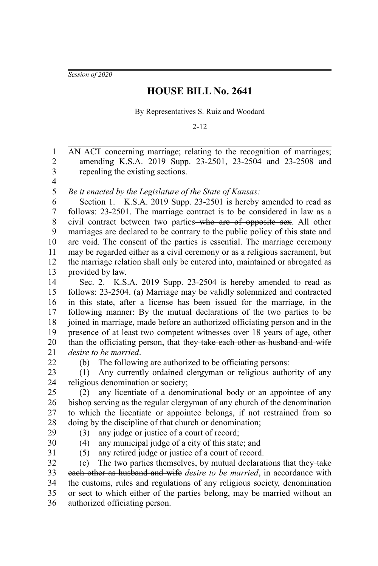*Session of 2020*

## **HOUSE BILL No. 2641**

By Representatives S. Ruiz and Woodard

2-12

AN ACT concerning marriage; relating to the recognition of marriages; amending K.S.A. 2019 Supp. 23-2501, 23-2504 and 23-2508 and repealing the existing sections. 1 2 3

4 5

*Be it enacted by the Legislature of the State of Kansas:*

Section 1. K.S.A. 2019 Supp. 23-2501 is hereby amended to read as follows: 23-2501. The marriage contract is to be considered in law as a civil contract between two parties who are of opposite sex. All other marriages are declared to be contrary to the public policy of this state and are void. The consent of the parties is essential. The marriage ceremony may be regarded either as a civil ceremony or as a religious sacrament, but the marriage relation shall only be entered into, maintained or abrogated as provided by law. 6 7 8 9 10 11 12 13

Sec. 2. K.S.A. 2019 Supp. 23-2504 is hereby amended to read as follows: 23-2504. (a) Marriage may be validly solemnized and contracted in this state, after a license has been issued for the marriage, in the following manner: By the mutual declarations of the two parties to be joined in marriage, made before an authorized officiating person and in the presence of at least two competent witnesses over 18 years of age, other than the officiating person, that they take each other as husband and wife *desire to be married*. 14 15 16 17 18 19 20 21 22

(b) The following are authorized to be officiating persons:

(1) Any currently ordained clergyman or religious authority of any religious denomination or society; 23 24

(2) any licentiate of a denominational body or an appointee of any bishop serving as the regular clergyman of any church of the denomination to which the licentiate or appointee belongs, if not restrained from so doing by the discipline of that church or denomination; (3) any judge or justice of a court of record; 25 26 27 28

29 30

(4) any municipal judge of a city of this state; and

31

(5) any retired judge or justice of a court of record.

(c) The two parties themselves, by mutual declarations that they  $\frac{1}{4}$ each other as husband and wife *desire to be married*, in accordance with the customs, rules and regulations of any religious society, denomination or sect to which either of the parties belong, may be married without an authorized officiating person. 32 33 34 35 36